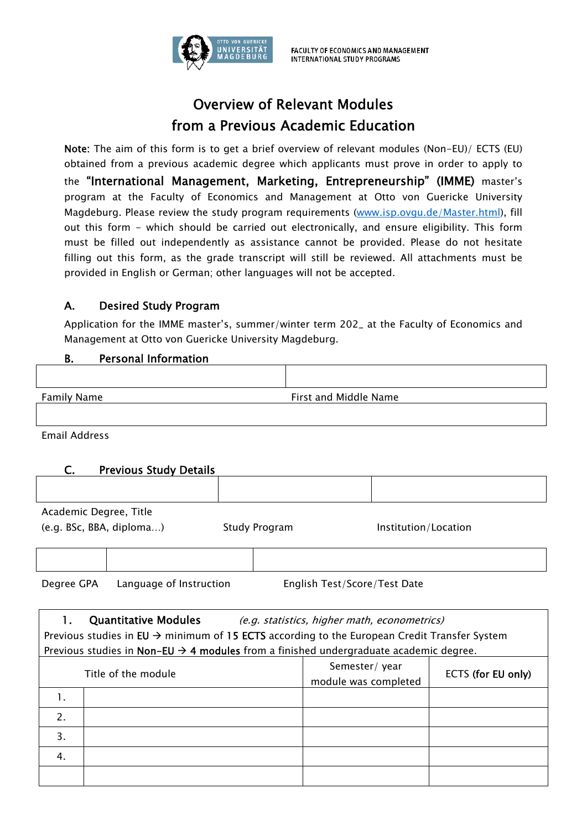

## Overview of Relevant Modules from a Previous Academic Education

Note: The aim of this form is to get a brief overview of relevant modules (Non-EU)/ ECTS (EU) obtained from a previous academic degree which applicants must prove in order to apply to the "International Management, Marketing, Entrepreneurship" (IMME) master's program at the Faculty of Economics and Management at Otto von Guericke University Magdeburg. Please review the study program requirements (www.isp.ovgu.de/Master.html), fill out this form - which should be carried out electronically, and ensure eligibility. This form must be filled out independently as assistance cannot be provided. Please do not hesitate filling out this form, as the grade transcript will still be reviewed. All attachments must be provided in English or German; other languages will not be accepted.

## A. Desired Study Program

Application for the IMME master's, summer/winter term 202\_ at the Faculty of Economics and Management at Otto von Guericke University Magdeburg.

## B. Personal Information

| Family Name | First and Middle Name |
|-------------|-----------------------|

Email Address

| C. | <b>Previous Study Details</b> |
|----|-------------------------------|
|----|-------------------------------|

| Academic Degree, Title   |               |                      |
|--------------------------|---------------|----------------------|
| (e.g. BSc, BBA, diploma) | Study Program | Institution/Location |

Degree GPA Language of Instruction English Test/Score/Test Date

|                                                                                                          | <b>Quantitative Modules</b>                                                                       | (e.g. statistics, higher math, econometrics) |                    |
|----------------------------------------------------------------------------------------------------------|---------------------------------------------------------------------------------------------------|----------------------------------------------|--------------------|
| Previous studies in EU $\rightarrow$ minimum of 15 ECTS according to the European Credit Transfer System |                                                                                                   |                                              |                    |
|                                                                                                          | Previous studies in Non-EU $\rightarrow$ 4 modules from a finished undergraduate academic degree. |                                              |                    |
|                                                                                                          | Title of the module                                                                               | Semester/year<br>module was completed        | ECTS (for EU only) |
| 1.                                                                                                       |                                                                                                   |                                              |                    |
| 2.                                                                                                       |                                                                                                   |                                              |                    |
| 3.                                                                                                       |                                                                                                   |                                              |                    |
| 4.                                                                                                       |                                                                                                   |                                              |                    |
|                                                                                                          |                                                                                                   |                                              |                    |
|                                                                                                          |                                                                                                   |                                              |                    |